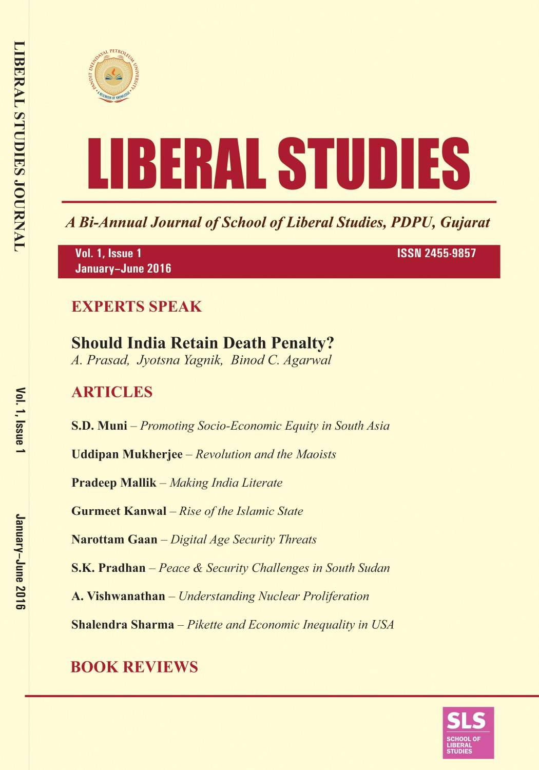



A Bi-Annual Journal of School of Liberal Studies, PDPU, Gujarat

Vol. 1, Issue 1 January-June 2016 **ISSN 2455-9857** 

## **EXPERTS SPEAK**

# **Should India Retain Death Penalty?**

A. Prasad, Jyotsna Yagnik, Binod C. Agarwal

## **ARTICLES**

**S.D. Muni** – Promoting Socio-Economic Equity in South Asia

**Uddipan Mukherjee** – Revolution and the Maoists

**Pradeep Mallik** – Making India Literate

**Gurmeet Kanwal** - Rise of the Islamic State

Narottam Gaan - Digital Age Security Threats

**S.K. Pradhan** – Peace & Security Challenges in South Sudan

A. Vishwanathan - Understanding Nuclear Proliferation

**Shalendra Sharma** - Pikette and Economic Inequality in USA

# **BOOK REVIEWS**

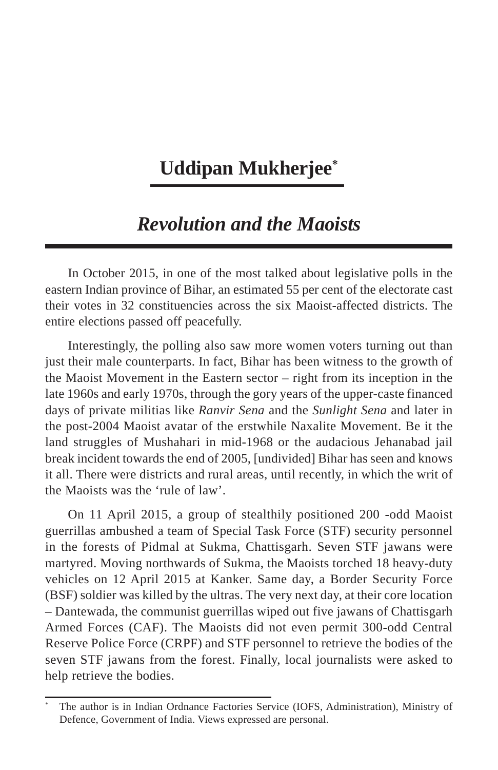### **Uddipan Mukherjee\***

### *Revolution and the Maoists*

In October 2015, in one of the most talked about legislative polls in the eastern Indian province of Bihar, an estimated 55 per cent of the electorate cast their votes in 32 constituencies across the six Maoist-affected districts. The entire elections passed off peacefully.

Interestingly, the polling also saw more women voters turning out than just their male counterparts. In fact, Bihar has been witness to the growth of the Maoist Movement in the Eastern sector – right from its inception in the late 1960s and early 1970s, through the gory years of the upper-caste financed days of private militias like *Ranvir Sena* and the *Sunlight Sena* and later in the post-2004 Maoist avatar of the erstwhile Naxalite Movement. Be it the land struggles of Mushahari in mid-1968 or the audacious Jehanabad jail break incident towards the end of 2005, [undivided] Bihar has seen and knows it all. There were districts and rural areas, until recently, in which the writ of the Maoists was the 'rule of law'.

On 11 April 2015, a group of stealthily positioned 200 -odd Maoist guerrillas ambushed a team of Special Task Force (STF) security personnel in the forests of Pidmal at Sukma, Chattisgarh. Seven STF jawans were martyred. Moving northwards of Sukma, the Maoists torched 18 heavy-duty vehicles on 12 April 2015 at Kanker. Same day, a Border Security Force (BSF) soldier was killed by the ultras. The very next day, at their core location – Dantewada, the communist guerrillas wiped out five jawans of Chattisgarh Armed Forces (CAF). The Maoists did not even permit 300-odd Central Reserve Police Force (CRPF) and STF personnel to retrieve the bodies of the seven STF jawans from the forest. Finally, local journalists were asked to help retrieve the bodies.

The author is in Indian Ordnance Factories Service (IOFS, Administration), Ministry of Defence, Government of India. Views expressed are personal.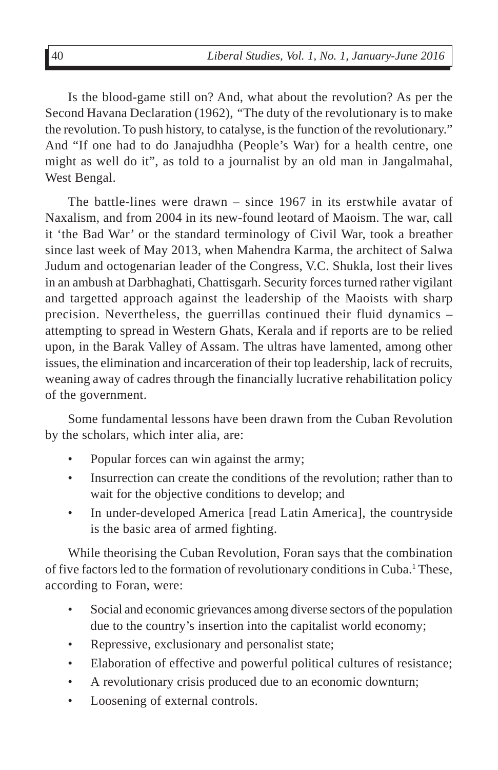Is the blood-game still on? And, what about the revolution? As per the Second Havana Declaration (1962), *"*The duty of the revolutionary is to make the revolution. To push history, to catalyse, is the function of the revolutionary." And "If one had to do Janajudhha (People's War) for a health centre, one might as well do it", as told to a journalist by an old man in Jangalmahal, West Bengal.

The battle-lines were drawn – since 1967 in its erstwhile avatar of Naxalism, and from 2004 in its new-found leotard of Maoism. The war, call it 'the Bad War' or the standard terminology of Civil War, took a breather since last week of May 2013, when Mahendra Karma, the architect of Salwa Judum and octogenarian leader of the Congress, V.C. Shukla, lost their lives in an ambush at Darbhaghati, Chattisgarh. Security forces turned rather vigilant and targetted approach against the leadership of the Maoists with sharp precision. Nevertheless, the guerrillas continued their fluid dynamics – attempting to spread in Western Ghats, Kerala and if reports are to be relied upon, in the Barak Valley of Assam. The ultras have lamented, among other issues, the elimination and incarceration of their top leadership, lack of recruits, weaning away of cadres through the financially lucrative rehabilitation policy of the government.

Some fundamental lessons have been drawn from the Cuban Revolution by the scholars, which inter alia, are:

- Popular forces can win against the army;
- Insurrection can create the conditions of the revolution; rather than to wait for the objective conditions to develop; and
- In under-developed America [read Latin America], the countryside is the basic area of armed fighting.

While theorising the Cuban Revolution, Foran says that the combination of five factors led to the formation of revolutionary conditions in Cuba.<sup>1</sup> These, according to Foran, were:

- Social and economic grievances among diverse sectors of the population due to the country's insertion into the capitalist world economy;
- Repressive, exclusionary and personalist state;
- Elaboration of effective and powerful political cultures of resistance;
- A revolutionary crisis produced due to an economic downturn;
- Loosening of external controls.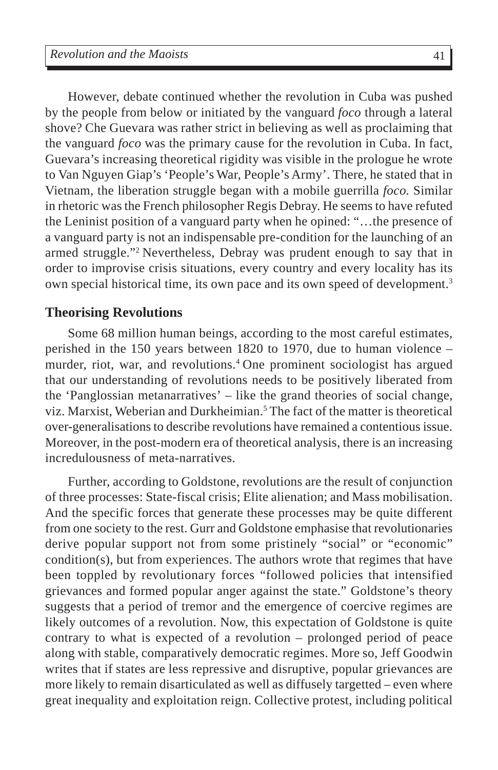However, debate continued whether the revolution in Cuba was pushed by the people from below or initiated by the vanguard *foco* through a lateral shove? Che Guevara was rather strict in believing as well as proclaiming that the vanguard *foco* was the primary cause for the revolution in Cuba. In fact, Guevara's increasing theoretical rigidity was visible in the prologue he wrote to Van Nguyen Giap's 'People's War, People's Army'. There, he stated that in Vietnam, the liberation struggle began with a mobile guerrilla *foco.* Similar in rhetoric was the French philosopher Regis Debray. He seems to have refuted the Leninist position of a vanguard party when he opined: "…the presence of a vanguard party is not an indispensable pre-condition for the launching of an armed struggle."2 Nevertheless, Debray was prudent enough to say that in order to improvise crisis situations, every country and every locality has its own special historical time, its own pace and its own speed of development.3

#### **Theorising Revolutions**

Some 68 million human beings, according to the most careful estimates, perished in the 150 years between 1820 to 1970, due to human violence – murder, riot, war, and revolutions.<sup>4</sup> One prominent sociologist has argued that our understanding of revolutions needs to be positively liberated from the 'Panglossian metanarratives' – like the grand theories of social change, viz. Marxist, Weberian and Durkheimian.<sup>5</sup> The fact of the matter is theoretical over-generalisations to describe revolutions have remained a contentious issue. Moreover, in the post-modern era of theoretical analysis, there is an increasing incredulousness of meta-narratives.

Further, according to Goldstone, revolutions are the result of conjunction of three processes: State-fiscal crisis; Elite alienation; and Mass mobilisation. And the specific forces that generate these processes may be quite different from one society to the rest. Gurr and Goldstone emphasise that revolutionaries derive popular support not from some pristinely "social" or "economic" condition(s), but from experiences. The authors wrote that regimes that have been toppled by revolutionary forces "followed policies that intensified grievances and formed popular anger against the state." Goldstone's theory suggests that a period of tremor and the emergence of coercive regimes are likely outcomes of a revolution. Now, this expectation of Goldstone is quite contrary to what is expected of a revolution – prolonged period of peace along with stable, comparatively democratic regimes. More so, Jeff Goodwin writes that if states are less repressive and disruptive, popular grievances are more likely to remain disarticulated as well as diffusely targetted – even where great inequality and exploitation reign. Collective protest, including political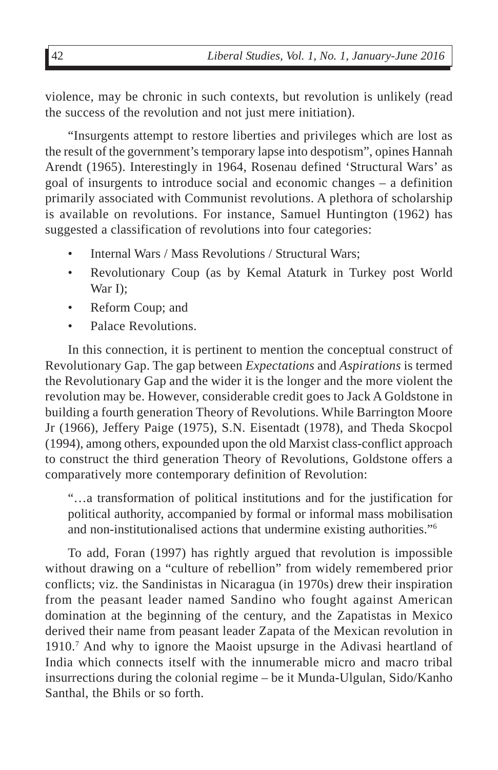violence, may be chronic in such contexts, but revolution is unlikely (read the success of the revolution and not just mere initiation).

"Insurgents attempt to restore liberties and privileges which are lost as the result of the government's temporary lapse into despotism", opines Hannah Arendt (1965). Interestingly in 1964, Rosenau defined 'Structural Wars' as goal of insurgents to introduce social and economic changes – a definition primarily associated with Communist revolutions. A plethora of scholarship is available on revolutions. For instance, Samuel Huntington (1962) has suggested a classification of revolutions into four categories:

- Internal Wars / Mass Revolutions / Structural Wars;
- Revolutionary Coup (as by Kemal Ataturk in Turkey post World War I);
- Reform Coup; and
- Palace Revolutions.

In this connection, it is pertinent to mention the conceptual construct of Revolutionary Gap. The gap between *Expectations* and *Aspirations* is termed the Revolutionary Gap and the wider it is the longer and the more violent the revolution may be. However, considerable credit goes to Jack A Goldstone in building a fourth generation Theory of Revolutions. While Barrington Moore Jr (1966), Jeffery Paige (1975), S.N. Eisentadt (1978), and Theda Skocpol (1994), among others, expounded upon the old Marxist class-conflict approach to construct the third generation Theory of Revolutions, Goldstone offers a comparatively more contemporary definition of Revolution:

"…a transformation of political institutions and for the justification for political authority, accompanied by formal or informal mass mobilisation and non-institutionalised actions that undermine existing authorities."6

To add, Foran (1997) has rightly argued that revolution is impossible without drawing on a "culture of rebellion" from widely remembered prior conflicts; viz. the Sandinistas in Nicaragua (in 1970s) drew their inspiration from the peasant leader named Sandino who fought against American domination at the beginning of the century, and the Zapatistas in Mexico derived their name from peasant leader Zapata of the Mexican revolution in 1910.7 And why to ignore the Maoist upsurge in the Adivasi heartland of India which connects itself with the innumerable micro and macro tribal insurrections during the colonial regime – be it Munda-Ulgulan, Sido/Kanho Santhal, the Bhils or so forth.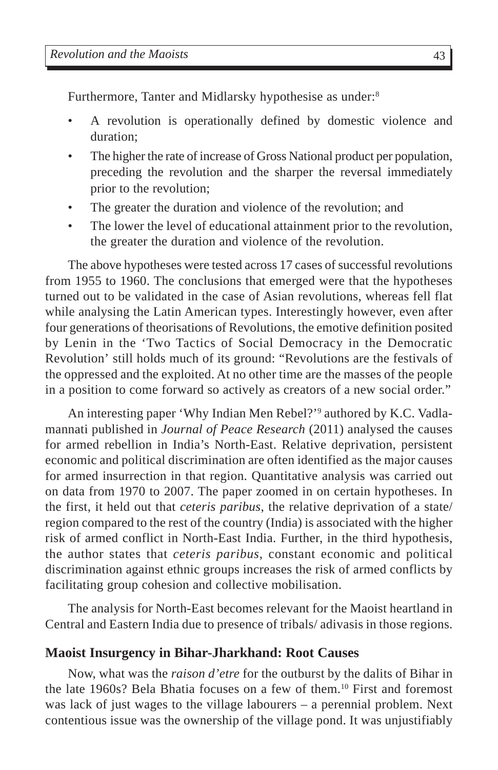Furthermore, Tanter and Midlarsky hypothesise as under:<sup>8</sup>

- A revolution is operationally defined by domestic violence and duration;
- The higher the rate of increase of Gross National product per population, preceding the revolution and the sharper the reversal immediately prior to the revolution;
- The greater the duration and violence of the revolution; and
- The lower the level of educational attainment prior to the revolution, the greater the duration and violence of the revolution.

The above hypotheses were tested across 17 cases of successful revolutions from 1955 to 1960. The conclusions that emerged were that the hypotheses turned out to be validated in the case of Asian revolutions, whereas fell flat while analysing the Latin American types. Interestingly however, even after four generations of theorisations of Revolutions, the emotive definition posited by Lenin in the 'Two Tactics of Social Democracy in the Democratic Revolution' still holds much of its ground: "Revolutions are the festivals of the oppressed and the exploited. At no other time are the masses of the people in a position to come forward so actively as creators of a new social order."

An interesting paper 'Why Indian Men Rebel?'9 authored by K.C. Vadlamannati published in *Journal of Peace Research* (2011) analysed the causes for armed rebellion in India's North-East. Relative deprivation, persistent economic and political discrimination are often identified as the major causes for armed insurrection in that region. Quantitative analysis was carried out on data from 1970 to 2007. The paper zoomed in on certain hypotheses. In the first, it held out that *ceteris paribus*, the relative deprivation of a state/ region compared to the rest of the country (India) is associated with the higher risk of armed conflict in North-East India. Further, in the third hypothesis, the author states that *ceteris paribus*, constant economic and political discrimination against ethnic groups increases the risk of armed conflicts by facilitating group cohesion and collective mobilisation.

The analysis for North-East becomes relevant for the Maoist heartland in Central and Eastern India due to presence of tribals/ adivasis in those regions.

#### **Maoist Insurgency in Bihar-Jharkhand: Root Causes**

Now, what was the *raison d'etre* for the outburst by the dalits of Bihar in the late 1960s? Bela Bhatia focuses on a few of them.<sup>10</sup> First and foremost was lack of just wages to the village labourers – a perennial problem. Next contentious issue was the ownership of the village pond. It was unjustifiably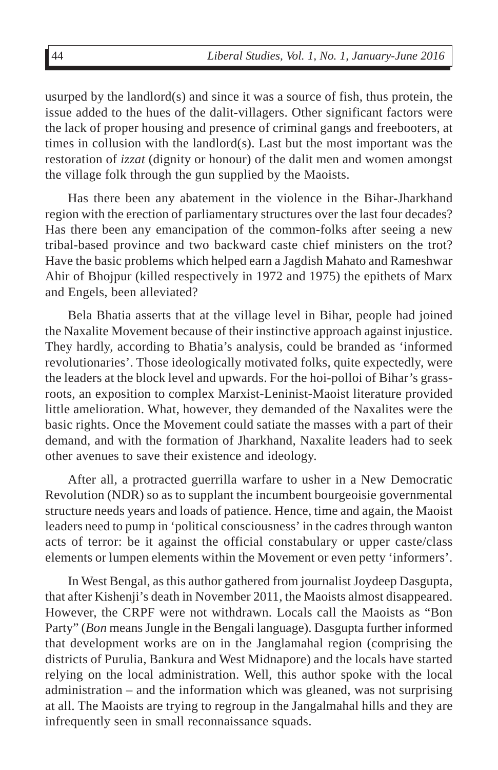usurped by the landlord(s) and since it was a source of fish, thus protein, the issue added to the hues of the dalit-villagers. Other significant factors were the lack of proper housing and presence of criminal gangs and freebooters, at times in collusion with the landlord(s). Last but the most important was the restoration of *izzat* (dignity or honour) of the dalit men and women amongst the village folk through the gun supplied by the Maoists.

Has there been any abatement in the violence in the Bihar-Jharkhand region with the erection of parliamentary structures over the last four decades? Has there been any emancipation of the common-folks after seeing a new tribal-based province and two backward caste chief ministers on the trot? Have the basic problems which helped earn a Jagdish Mahato and Rameshwar Ahir of Bhojpur (killed respectively in 1972 and 1975) the epithets of Marx and Engels, been alleviated?

Bela Bhatia asserts that at the village level in Bihar, people had joined the Naxalite Movement because of their instinctive approach against injustice. They hardly, according to Bhatia's analysis, could be branded as 'informed revolutionaries'. Those ideologically motivated folks, quite expectedly, were the leaders at the block level and upwards. For the hoi-polloi of Bihar's grassroots, an exposition to complex Marxist-Leninist-Maoist literature provided little amelioration. What, however, they demanded of the Naxalites were the basic rights. Once the Movement could satiate the masses with a part of their demand, and with the formation of Jharkhand, Naxalite leaders had to seek other avenues to save their existence and ideology.

After all, a protracted guerrilla warfare to usher in a New Democratic Revolution (NDR) so as to supplant the incumbent bourgeoisie governmental structure needs years and loads of patience. Hence, time and again, the Maoist leaders need to pump in 'political consciousness' in the cadres through wanton acts of terror: be it against the official constabulary or upper caste/class elements or lumpen elements within the Movement or even petty 'informers'.

In West Bengal, as this author gathered from journalist Joydeep Dasgupta, that after Kishenji's death in November 2011, the Maoists almost disappeared. However, the CRPF were not withdrawn. Locals call the Maoists as "Bon Party" (*Bon* means Jungle in the Bengali language). Dasgupta further informed that development works are on in the Janglamahal region (comprising the districts of Purulia, Bankura and West Midnapore) and the locals have started relying on the local administration. Well, this author spoke with the local administration – and the information which was gleaned, was not surprising at all. The Maoists are trying to regroup in the Jangalmahal hills and they are infrequently seen in small reconnaissance squads.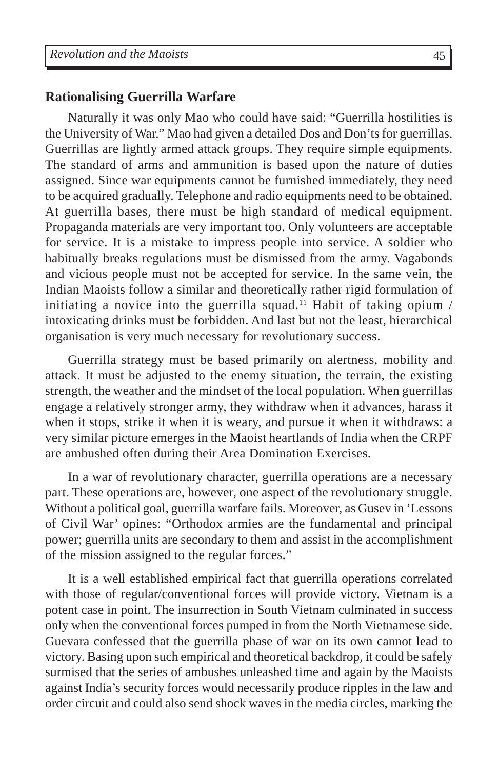#### **Rationalising Guerrilla Warfare**

Naturally it was only Mao who could have said: "Guerrilla hostilities is the University of War." Mao had given a detailed Dos and Don'ts for guerrillas. Guerrillas are lightly armed attack groups. They require simple equipments. The standard of arms and ammunition is based upon the nature of duties assigned. Since war equipments cannot be furnished immediately, they need to be acquired gradually. Telephone and radio equipments need to be obtained. At guerrilla bases, there must be high standard of medical equipment. Propaganda materials are very important too. Only volunteers are acceptable for service. It is a mistake to impress people into service. A soldier who habitually breaks regulations must be dismissed from the army. Vagabonds and vicious people must not be accepted for service. In the same vein, the Indian Maoists follow a similar and theoretically rather rigid formulation of initiating a novice into the guerrilla squad.<sup>11</sup> Habit of taking opium / intoxicating drinks must be forbidden. And last but not the least, hierarchical organisation is very much necessary for revolutionary success.

Guerrilla strategy must be based primarily on alertness, mobility and attack. It must be adjusted to the enemy situation, the terrain, the existing strength, the weather and the mindset of the local population. When guerrillas engage a relatively stronger army, they withdraw when it advances, harass it when it stops, strike it when it is weary, and pursue it when it withdraws: a very similar picture emerges in the Maoist heartlands of India when the CRPF are ambushed often during their Area Domination Exercises.

In a war of revolutionary character, guerrilla operations are a necessary part. These operations are, however, one aspect of the revolutionary struggle. Without a political goal, guerrilla warfare fails. Moreover, as Gusev in 'Lessons of Civil War' opines: "Orthodox armies are the fundamental and principal power; guerrilla units are secondary to them and assist in the accomplishment of the mission assigned to the regular forces."

It is a well established empirical fact that guerrilla operations correlated with those of regular/conventional forces will provide victory. Vietnam is a potent case in point. The insurrection in South Vietnam culminated in success only when the conventional forces pumped in from the North Vietnamese side. Guevara confessed that the guerrilla phase of war on its own cannot lead to victory. Basing upon such empirical and theoretical backdrop, it could be safely surmised that the series of ambushes unleashed time and again by the Maoists against India's security forces would necessarily produce ripples in the law and order circuit and could also send shock waves in the media circles, marking the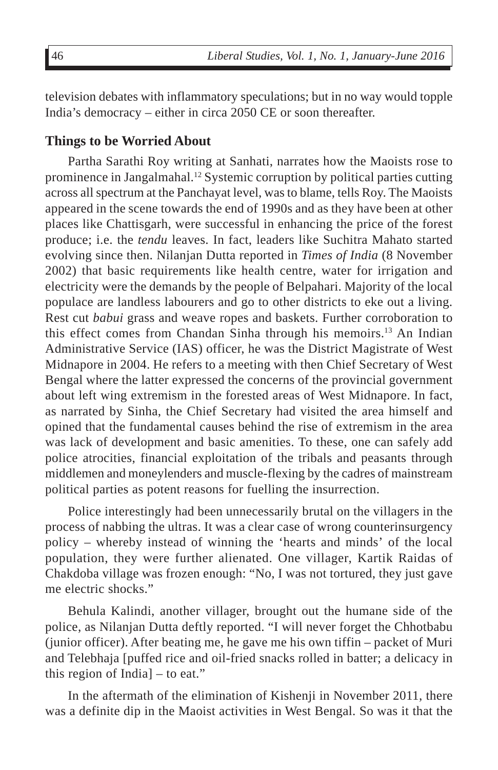television debates with inflammatory speculations; but in no way would topple India's democracy – either in circa 2050 CE or soon thereafter.

#### **Things to be Worried About**

Partha Sarathi Roy writing at Sanhati, narrates how the Maoists rose to prominence in Jangalmahal.<sup>12</sup> Systemic corruption by political parties cutting across all spectrum at the Panchayat level, was to blame, tells Roy. The Maoists appeared in the scene towards the end of 1990s and as they have been at other places like Chattisgarh, were successful in enhancing the price of the forest produce; i.e. the *tendu* leaves. In fact, leaders like Suchitra Mahato started evolving since then. Nilanjan Dutta reported in *Times of India* (8 November 2002) that basic requirements like health centre, water for irrigation and electricity were the demands by the people of Belpahari. Majority of the local populace are landless labourers and go to other districts to eke out a living. Rest cut *babui* grass and weave ropes and baskets. Further corroboration to this effect comes from Chandan Sinha through his memoirs.13 An Indian Administrative Service (IAS) officer, he was the District Magistrate of West Midnapore in 2004. He refers to a meeting with then Chief Secretary of West Bengal where the latter expressed the concerns of the provincial government about left wing extremism in the forested areas of West Midnapore. In fact, as narrated by Sinha, the Chief Secretary had visited the area himself and opined that the fundamental causes behind the rise of extremism in the area was lack of development and basic amenities. To these, one can safely add police atrocities, financial exploitation of the tribals and peasants through middlemen and moneylenders and muscle-flexing by the cadres of mainstream political parties as potent reasons for fuelling the insurrection.

Police interestingly had been unnecessarily brutal on the villagers in the process of nabbing the ultras. It was a clear case of wrong counterinsurgency policy – whereby instead of winning the 'hearts and minds' of the local population, they were further alienated. One villager, Kartik Raidas of Chakdoba village was frozen enough: "No, I was not tortured, they just gave me electric shocks."

Behula Kalindi, another villager, brought out the humane side of the police, as Nilanjan Dutta deftly reported. "I will never forget the Chhotbabu (junior officer). After beating me, he gave me his own tiffin – packet of Muri and Telebhaja [puffed rice and oil-fried snacks rolled in batter; a delicacy in this region of India] – to eat."

In the aftermath of the elimination of Kishenji in November 2011, there was a definite dip in the Maoist activities in West Bengal. So was it that the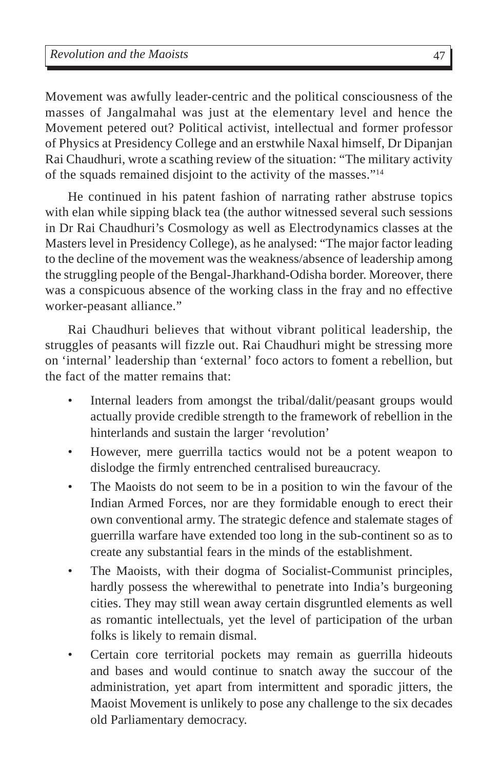Movement was awfully leader-centric and the political consciousness of the masses of Jangalmahal was just at the elementary level and hence the Movement petered out? Political activist, intellectual and former professor of Physics at Presidency College and an erstwhile Naxal himself, Dr Dipanjan Rai Chaudhuri, wrote a scathing review of the situation: "The military activity of the squads remained disjoint to the activity of the masses."14

He continued in his patent fashion of narrating rather abstruse topics with elan while sipping black tea (the author witnessed several such sessions in Dr Rai Chaudhuri's Cosmology as well as Electrodynamics classes at the Masters level in Presidency College), as he analysed: "The major factor leading to the decline of the movement was the weakness/absence of leadership among the struggling people of the Bengal-Jharkhand-Odisha border. Moreover, there was a conspicuous absence of the working class in the fray and no effective worker-peasant alliance."

Rai Chaudhuri believes that without vibrant political leadership, the struggles of peasants will fizzle out. Rai Chaudhuri might be stressing more on 'internal' leadership than 'external' foco actors to foment a rebellion, but the fact of the matter remains that:

- Internal leaders from amongst the tribal/dalit/peasant groups would actually provide credible strength to the framework of rebellion in the hinterlands and sustain the larger 'revolution'
- However, mere guerrilla tactics would not be a potent weapon to dislodge the firmly entrenched centralised bureaucracy.
- The Maoists do not seem to be in a position to win the favour of the Indian Armed Forces, nor are they formidable enough to erect their own conventional army. The strategic defence and stalemate stages of guerrilla warfare have extended too long in the sub-continent so as to create any substantial fears in the minds of the establishment.
- The Maoists, with their dogma of Socialist-Communist principles, hardly possess the wherewithal to penetrate into India's burgeoning cities. They may still wean away certain disgruntled elements as well as romantic intellectuals, yet the level of participation of the urban folks is likely to remain dismal.
- Certain core territorial pockets may remain as guerrilla hideouts and bases and would continue to snatch away the succour of the administration, yet apart from intermittent and sporadic jitters, the Maoist Movement is unlikely to pose any challenge to the six decades old Parliamentary democracy.